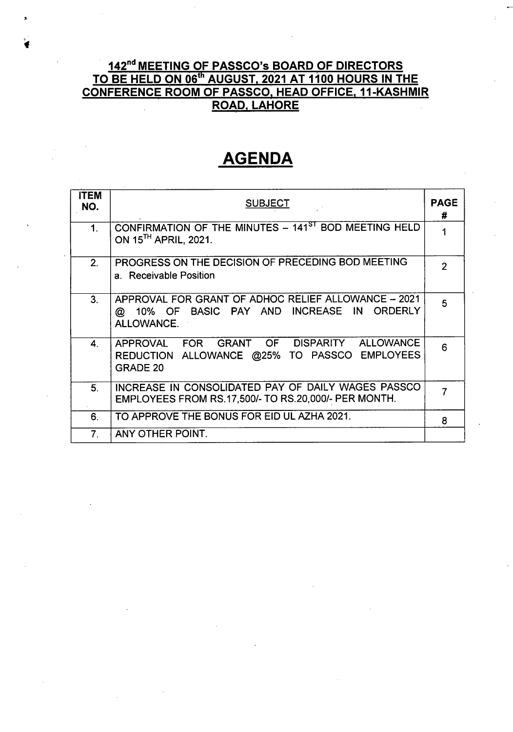## <u>142<sup>nd</sup> MEETING OF PASSCO's BOARD OF DIRECTORS</u> TO BE HELD ON 06th AUGUST, 2021 AT 1100 HOURS IN THE CONFERENCE ROOM OF PASSCO, HEAD OFFICE, 11-KASHMIR ROAD, LAHORE

# **AGENDA**

| ITEM<br>NO.    | <b>PAGE</b><br><b>SUBJECT</b>                                                                                         |                |  |
|----------------|-----------------------------------------------------------------------------------------------------------------------|----------------|--|
| 1 <sub>1</sub> | CONFIRMATION OF THE MINUTES - 141 <sup>ST</sup> BOD MEETING HELD<br>ON 15 <sup>TH</sup> APRIL, 2021.                  |                |  |
| 2 <sub>1</sub> | PROGRESS ON THE DECISION OF PRECEDING BOD MEETING<br>a. Receivable Position                                           | $\overline{2}$ |  |
| 3 <sub>1</sub> | APPROVAL FOR GRANT OF ADHOC RELIEF ALLOWANCE - 2021<br>10% OF BASIC PAY AND INCREASE IN<br>ORDERLY<br>@<br>ALLOWANCE. | 5              |  |
| 4              | APPROVAL FOR GRANT OF<br>DISPARITY ALLOWANCE<br>REDUCTION ALLOWANCE @25% TO PASSCO EMPLOYEES<br>GRADE 20              | 6              |  |
| 5.             | INCREASE IN CONSOLIDATED PAY OF DAILY WAGES PASSCO<br>EMPLOYEES FROM RS.17,500/- TO RS.20,000/- PER MONTH.            |                |  |
| 6.             | TO APPROVE THE BONUS FOR EID UL AZHA 2021.                                                                            | 8              |  |
| 7 <sub>1</sub> | ANY OTHER POINT.                                                                                                      |                |  |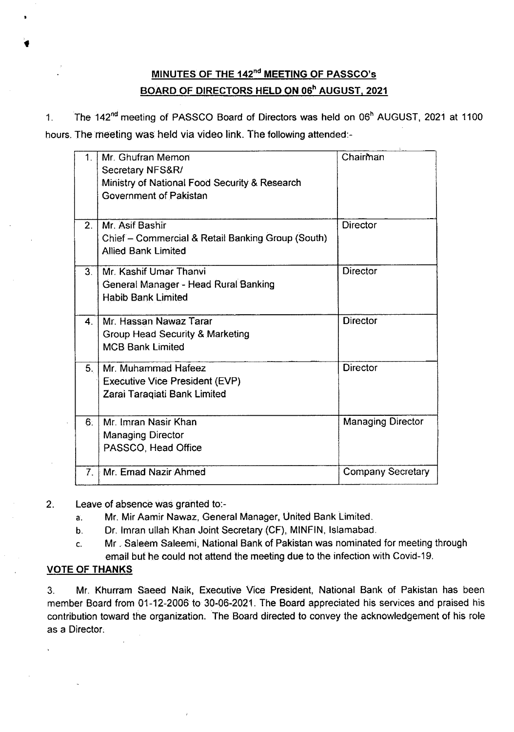## MINUTES OF THE 142<sup>nd</sup> MEETING OF PASSCO's <u>BOARD OF DIRECTORS HELD ON 06<sup>h</sup> AUGUST, 2021</u>

1. The 142<sup>nd</sup> meeting of PASSCO Board of Directors was held on 06<sup>h</sup> AUGUST, 2021 at 1100 hours. The meeting was held via video link. The following attended:-

| 1 <sub>1</sub>   | Mr. Ghufran Memon<br>Secretary NFS&R/<br>Ministry of National Food Security & Research<br>Government of Pakistan | Chairman                 |
|------------------|------------------------------------------------------------------------------------------------------------------|--------------------------|
| $\overline{2}$ . | Mr. Asif Bashir<br>Chief - Commercial & Retail Banking Group (South)<br><b>Allied Bank Limited</b>               | <b>Director</b>          |
| 3 <sub>1</sub>   | Mr. Kashif Umar Thanvi<br>General Manager - Head Rural Banking<br><b>Habib Bank Limited</b>                      | <b>Director</b>          |
| $\mathbf{4}$     | Mr. Hassan Nawaz Tarar<br><b>Group Head Security &amp; Marketing</b><br><b>MCB Bank Limited</b>                  | <b>Director</b>          |
| 5.               | Mr. Muhammad Hafeez<br><b>Executive Vice President (EVP)</b><br>Zarai Taraqiati Bank Limited                     | <b>Director</b>          |
| 6 <sub>1</sub>   | Mr. Imran Nasir Khan<br><b>Managing Director</b><br>PASSCO, Head Office                                          | <b>Managing Director</b> |
| 7.               | Mr. Emad Nazir Ahmed                                                                                             | <b>Company Secretary</b> |

2. Leave of absence was granted to:-

- a. Mr. Mir Aamir Nawaz, General Manager, United Bank Limited.
- b. Or. Imran ullah Khan Joint Secretary (CF), MINFIN, Islamabad.
- c. Mr. Saleem Saleemi, National Bank of Pakistan was nominated for meeting through email but he could not attend the meeting due to the infection with Covid-19.

#### VOTE OF THANKS

3. Mr. Khurram Saeed Naik, Executive Vice President, National Bank of Pakistan has been member Board from 01-12-2006 to 30-06-2021. The Board appreciated his services and praised his contribution toward the organization. The Board directed to convey the acknowledgement of his role as a Director.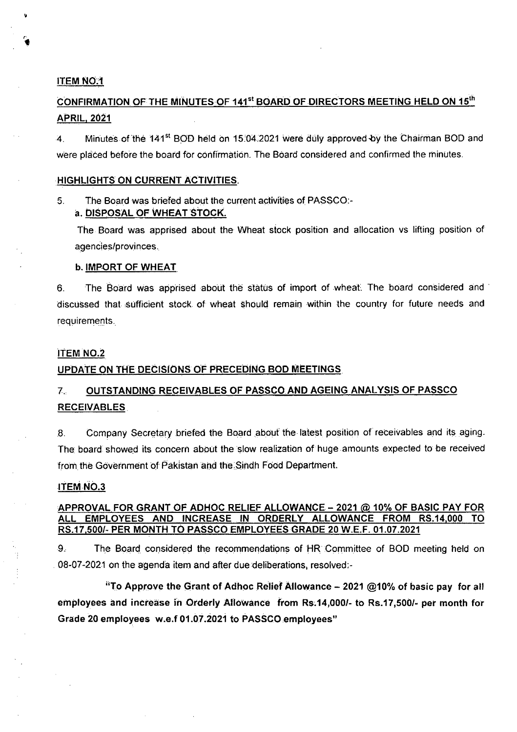#### ITEM NO~1

## CONFIRMATION OF THE MINUTES OF 141st BOARD OF DIRECTORS MEETING HELD ON 15th APRIL,2021

4. Minutes of the 141<sup>st</sup> BOD held on 15:04.2021 were duly approved by the Chairman BOD and were placed before the board for confirmation. The Board considered and confirmed the minutes.

#### .HIGHLIGHTS ON CURRENT ACTIVITIES.

#### 5. The Board was briefed about the current activities of PASSCO: a. DISPOSAL OF WHEAT STOCK.

The Board was apprised about the Wheat stock position and allocation vs lifting position of agencies/provinces.

#### b. IMPORT OF WHEAT

6. The Board was apprised about the status of import of wheat. The board considered and discussed that sufficient stock of wheat should remain within the country for future needs and requirements.

#### **ITEM NO.2**

#### UPDATE ON THE DECISIONS OF PRECEDING BOD MEETINGS.

## 7. OUTSTANDING RECEIVABLES OF PASSCO.AND AGEING ANALYSIS OF PASSCO RECEIVABLES .

8. Company Secretary briefed the Board about the latest position of receivables and its aging. The board showed its concern about the slow realization of huge amounts expected to be received from the Government of Pakistan and the Sindh Food Department.

#### ITEM NO.3

#### APPROVAL FOR GRANT OF ADHOC RELIEF ALLOWANCE - 2021 @ 10% OF BASIC PAY FOR ALL EMPLOYEES AND INCREASE IN ORDERLY ALLOWANCE FROM RS.14,000 TO RS.17,500/- PER MONTH TO PAsseo EMPLOYEES GRADE 20 W.E.F. 01.07.2021

9. The Board considered the recommendations of HR Committee of BOD meeting held on 08-07-2021 on the agenda item and after due deliberations, resolved:-

"To Approve the Grant of Adhoc Relief Allowance - 2021 @10% of basic pay for all employees and increase in Orderly Allowance from Rs.14,000/- to Rs.17,500/- per month for Grade 20 employees w.e.f01.07.2021 to PASSCOemployees"